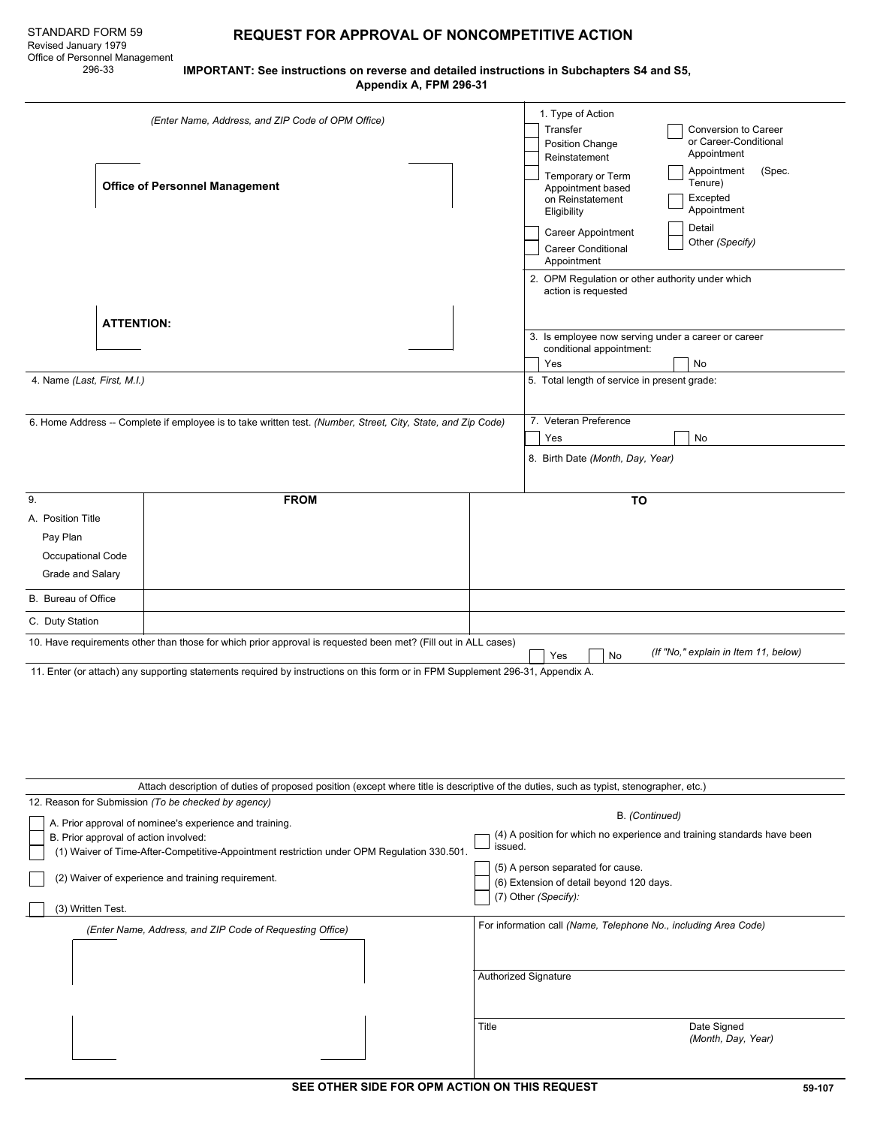$\overline{\phantom{0}}$ 

# STANDARD FORM 59 **REQUEST FOR APPROVAL OF NONCOMPETITIVE ACTION**

 296-33 **IMPORTANT: See instructions on reverse and detailed instructions in Subchapters S4 and S5, Appendix A, FPM 296-31**

| (Enter Name, Address, and ZIP Code of OPM Office)                                                                                                                                              |                                                     |                                                                                                                |       | 1. Type of Action<br>Transfer<br>Conversion to Career<br>or Career-Conditional<br>Position Change<br>Appointment<br>Reinstatement<br>Appointment<br>(Spec.                                                     |  |  |  |  |  |
|------------------------------------------------------------------------------------------------------------------------------------------------------------------------------------------------|-----------------------------------------------------|----------------------------------------------------------------------------------------------------------------|-------|----------------------------------------------------------------------------------------------------------------------------------------------------------------------------------------------------------------|--|--|--|--|--|
|                                                                                                                                                                                                | <b>Office of Personnel Management</b>               |                                                                                                                |       | Temporary or Term<br>Tenure)<br>Appointment based<br>Excepted<br>on Reinstatement<br>Appointment<br>Eligibility<br>Detail<br>Career Appointment<br>Other (Specify)<br><b>Career Conditional</b><br>Appointment |  |  |  |  |  |
|                                                                                                                                                                                                | <b>ATTENTION:</b>                                   |                                                                                                                |       | 2. OPM Regulation or other authority under which<br>action is requested                                                                                                                                        |  |  |  |  |  |
| 4. Name (Last, First, M.I.)                                                                                                                                                                    |                                                     |                                                                                                                |       | 3. Is employee now serving under a career or career<br>conditional appointment:<br>Yes<br>No<br>5. Total length of service in present grade:                                                                   |  |  |  |  |  |
|                                                                                                                                                                                                |                                                     | 6. Home Address -- Complete if employee is to take written test. (Number, Street, City, State, and Zip Code)   |       | 7. Veteran Preference<br>No<br>Yes                                                                                                                                                                             |  |  |  |  |  |
|                                                                                                                                                                                                |                                                     |                                                                                                                |       | 8. Birth Date (Month, Day, Year)                                                                                                                                                                               |  |  |  |  |  |
| 9.<br>A. Position Title<br>Pay Plan<br>Occupational Code<br>Grade and Salary                                                                                                                   |                                                     | <b>FROM</b>                                                                                                    |       | TO                                                                                                                                                                                                             |  |  |  |  |  |
| B. Bureau of Office                                                                                                                                                                            |                                                     |                                                                                                                |       |                                                                                                                                                                                                                |  |  |  |  |  |
| C. Duty Station                                                                                                                                                                                |                                                     |                                                                                                                |       |                                                                                                                                                                                                                |  |  |  |  |  |
|                                                                                                                                                                                                |                                                     | 10. Have requirements other than those for which prior approval is requested been met? (Fill out in ALL cases) |       | (If "No," explain in Item 11, below)<br>No<br>Yes                                                                                                                                                              |  |  |  |  |  |
| 11. Enter (or attach) any supporting statements required by instructions on this form or in FPM Supplement 296-31, Appendix A.                                                                 |                                                     |                                                                                                                |       |                                                                                                                                                                                                                |  |  |  |  |  |
|                                                                                                                                                                                                | 12. Reason for Submission (To be checked by agency) |                                                                                                                |       | Attach description of duties of proposed position (except where title is descriptive of the duties, such as typist, stenographer, etc.)                                                                        |  |  |  |  |  |
| A. Prior approval of nominee's experience and training.<br>B. Prior approval of action involved:<br>(1) Waiver of Time-After-Competitive-Appointment restriction under OPM Regulation 330.501. |                                                     |                                                                                                                |       | B. (Continued)<br>(4) A position for which no experience and training standards have been<br>issued.                                                                                                           |  |  |  |  |  |
| (2) Waiver of experience and training requirement.<br>(3) Written Test.                                                                                                                        |                                                     |                                                                                                                |       | (5) A person separated for cause.<br>(6) Extension of detail beyond 120 days.<br>(7) Other (Specify):                                                                                                          |  |  |  |  |  |
| (Enter Name, Address, and ZIP Code of Requesting Office)                                                                                                                                       |                                                     |                                                                                                                |       | For information call (Name, Telephone No., including Area Code)                                                                                                                                                |  |  |  |  |  |
|                                                                                                                                                                                                |                                                     |                                                                                                                |       | Authorized Signature                                                                                                                                                                                           |  |  |  |  |  |
|                                                                                                                                                                                                |                                                     |                                                                                                                | Title | Date Signed<br>(Month, Day, Year)                                                                                                                                                                              |  |  |  |  |  |